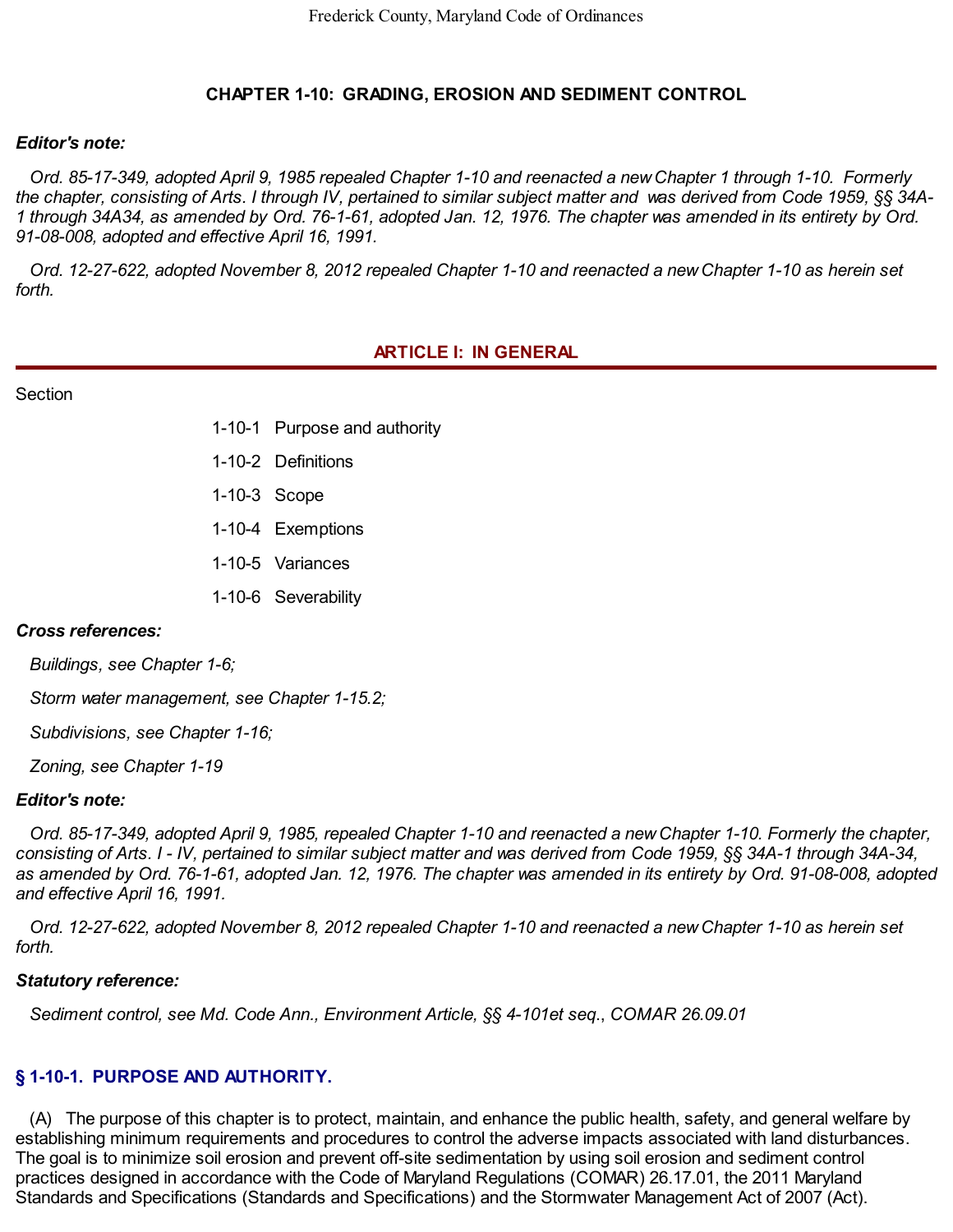### **CHAPTER 1-10: GRADING, EROSION AND SEDIMENT CONTROL**

#### *Editor's note:*

the chapter, consisting of Arts. I through IV, pertained to similar subject matter and was derived from Code 1959, §§ 34A-1 through 34A34, as amended by Ord. 76-1-61, adopted Jan. 12, 1976. The chapter was amended in its entirety by Ord.  *91-08-008, adopted and effective April 16, 1991.* Ord. 85-17-349, adopted April 9, 1985 repealed Chapter 1-10 and reenacted a new Chapter 1 through 1-10. Formerly

Ord. 12-27-622, adopted November 8, 2012 repealed Chapter 1-10 and reenacted a new Chapter 1-10 as herein set *forth.*

#### **ARTICLE I: IN GENERAL**

**Section** 

- 1-10-1 Purpose and authority
- 1-10-2 Definitions
- 1-10-3 Scope
- 1-10-4 Exemptions
- 1-10-5 Variances
- 1-10-6 Severability

#### *Cross references:*

*Buildings, see Chapter 1-6;*

*Storm water management, see Chapter 1-15.2;*

*Subdivisions, see Chapter 1-16;*

*Zoning, see Chapter 1-19*

#### *Editor's note:*

consisting of Arts. I - IV, pertained to similar subject matter and was derived from Code 1959, §§ 34A-1 through 34A-34, as amended by Ord. 76-1-61, adopted Jan. 12, 1976. The chapter was amended in its entirety by Ord. 91-08-008, adopted  *and effective April 16, 1991.* Ord. 85-17-349, adopted April 9, 1985, repealed Chapter 1-10 and reenacted a new Chapter 1-10. Formerly the chapter,

Ord. 12-27-622, adopted November 8, 2012 repealed Chapter 1-10 and reenacted a new Chapter 1-10 as herein set *forth.*

#### *Statutory reference:*

*Sediment control, see Md. Code Ann., Environment Article, §§ 4-101et seq*., *COMAR [26.09.01](https://26.09.01)*

# **§ 1-10-1. PURPOSE AND AUTHORITY.**

 establishing minimum requirements and procedures to control the adverse impacts associated with land disturbances. The goal is to minimize soil erosion and prevent off-site sedimentation by using soil erosion and sediment control practices designed in accordance with the Code of Maryland Regulations (COMAR) [26.17.01,](https://26.17.01) the 2011 Maryland Standards and Specifications (Standards and Specifications) and the Stormwater Management Act of 2007 (Act).(A) The purpose of this chapter is to protect, maintain, and enhance the public health, safety, and general welfare by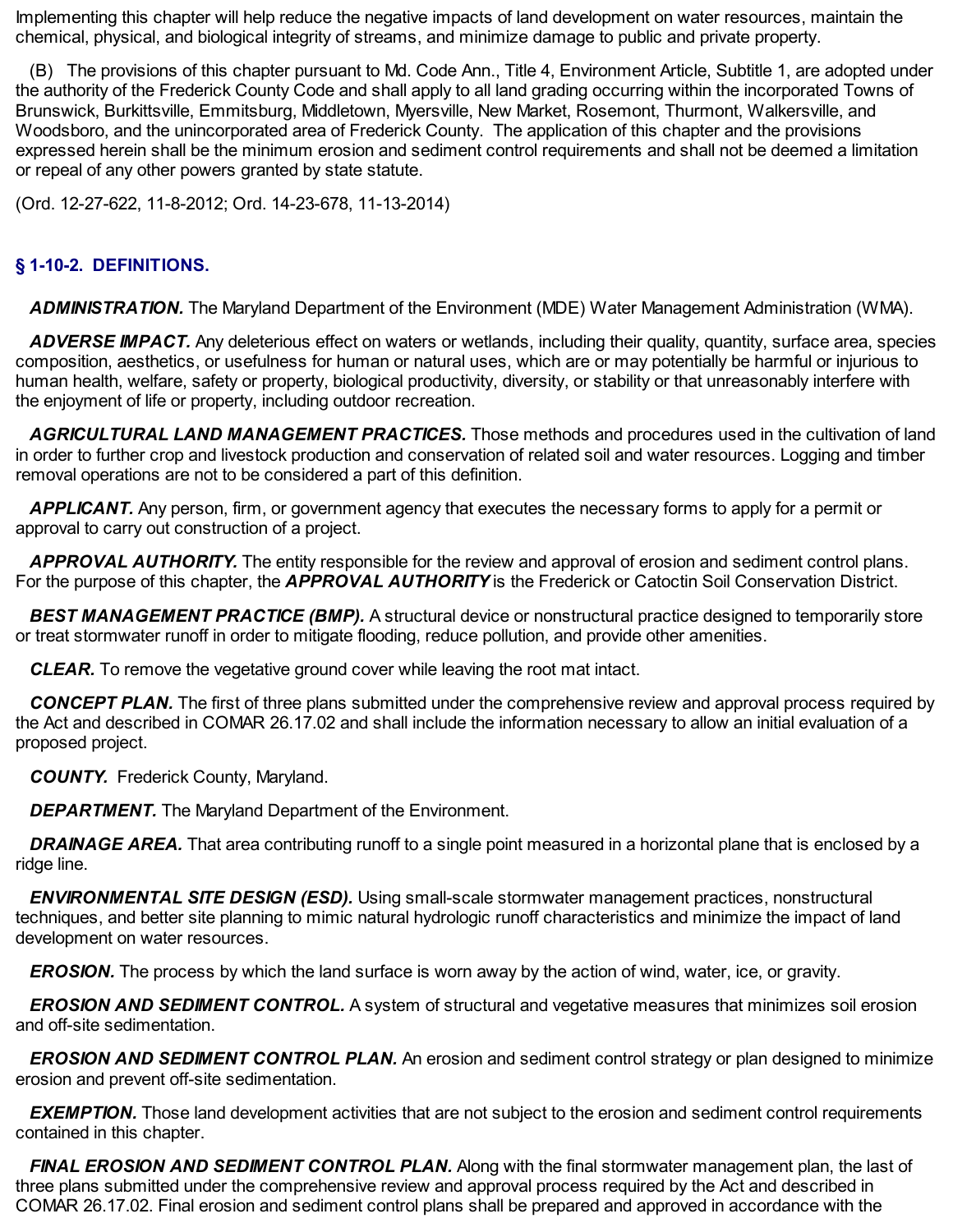Implementing this chapter will help reduce the negative impacts of land development on water resources, maintain the chemical, physical, and biological integrity of streams, and minimize damage to public and private property.

 the authority of the Frederick County Code and shall apply to all land grading occurring within the incorporated Towns of Brunswick, Burkittsville, Emmitsburg, Middletown, Myersville, New Market, Rosemont, Thurmont, Walkersville, and Woodsboro, and the unincorporated area of Frederick County. The application of this chapter and the provisions expressed herein shall be the minimum erosion and sediment control requirements and shall not be deemed a limitation or repeal of any other powers granted by state statute. (B) The provisions of this chapter pursuant to Md. Code Ann., Title 4, Environment Article, Subtitle 1, are adopted under

(Ord. 12-27-622, 11-8-2012; Ord. 14-23-678, 11-13-2014)

# **§ 1-10-2. DEFINITIONS.**

*ADMINISTRATION.* The Maryland Department of the Environment (MDE) Water Management Administration (WMA).

 composition, aesthetics, or usefulness for human or natural uses, which are or may potentially be harmful or injurious to human health, welfare, safety or property, biological productivity, diversity, or stability or that unreasonably interfere with the enjoyment of life or property, including outdoor recreation. *ADVERSE IMPACT.* Any deleterious effect on waters or wetlands, including their quality, quantity, surface area, species

 in order to further crop and livestock production and conservation of related soil and water resources. Logging and timber removal operations are not to be considered a part of this definition. *AGRICULTURAL LAND MANAGEMENT PRACTICES.* Those methods and procedures used in the cultivation of land

 approval to carry out construction of a project. *APPLICANT.* Any person, firm, or government agency that executes the necessary forms to apply for a permit or

 For the purpose of this chapter, the *APPROVAL AUTHORITY* is the Frederick or Catoctin Soil Conservation District. *APPROVAL AUTHORITY.* The entity responsible for the review and approval of erosion and sediment control plans.

 or treat stormwater runoff in order to mitigate flooding, reduce pollution, and provide other amenities. *BEST MANAGEMENT PRACTICE (BMP).* A structural device or nonstructural practice designed to temporarily store

*CLEAR.* To remove the vegetative ground cover while leaving the root mat intact.

 the Act and described in COMAR [26.17.02](https://26.17.02) and shall include the information necessary to allow an initial evaluation of a *CONCEPT PLAN.* The first of three plans submitted under the comprehensive review and approval process required by proposed project.

*COUNTY.* Frederick County, Maryland.

**DEPARTMENT.** The Maryland Department of the Environment.

*DRAINAGE AREA.* That area contributing runoff to a single point measured in a horizontal plane that is enclosed by a ridge line.

 techniques, and better site planning to mimic natural hydrologic runoff characteristics and minimize the impact of land development on water resources. *ENVIRONMENTAL SITE DESIGN (ESD).* Using small-scale stormwater management practices, nonstructural

*EROSION.* The process by which the land surface is worn away by the action of wind, water, ice, or gravity.

 and off-site sedimentation. *EROSION AND SEDIMENT CONTROL.* A system of structural and vegetative measures that minimizes soil erosion

 erosion and prevent off-site sedimentation. *EROSION AND SEDIMENT CONTROL PLAN.* An erosion and sediment control strategy or plan designed to minimize

 contained in this chapter. *EXEMPTION.* Those land development activities that are not subject to the erosion and sediment control requirements

 three plans submitted under the comprehensive review and approval process required by the Act and described in COMAR [26.17.02.](https://26.17.02) Final erosion and sediment control plans shall be prepared and approved in accordance with the*FINAL EROSION AND SEDIMENT CONTROL PLAN.* Along with the final stormwater management plan, the last of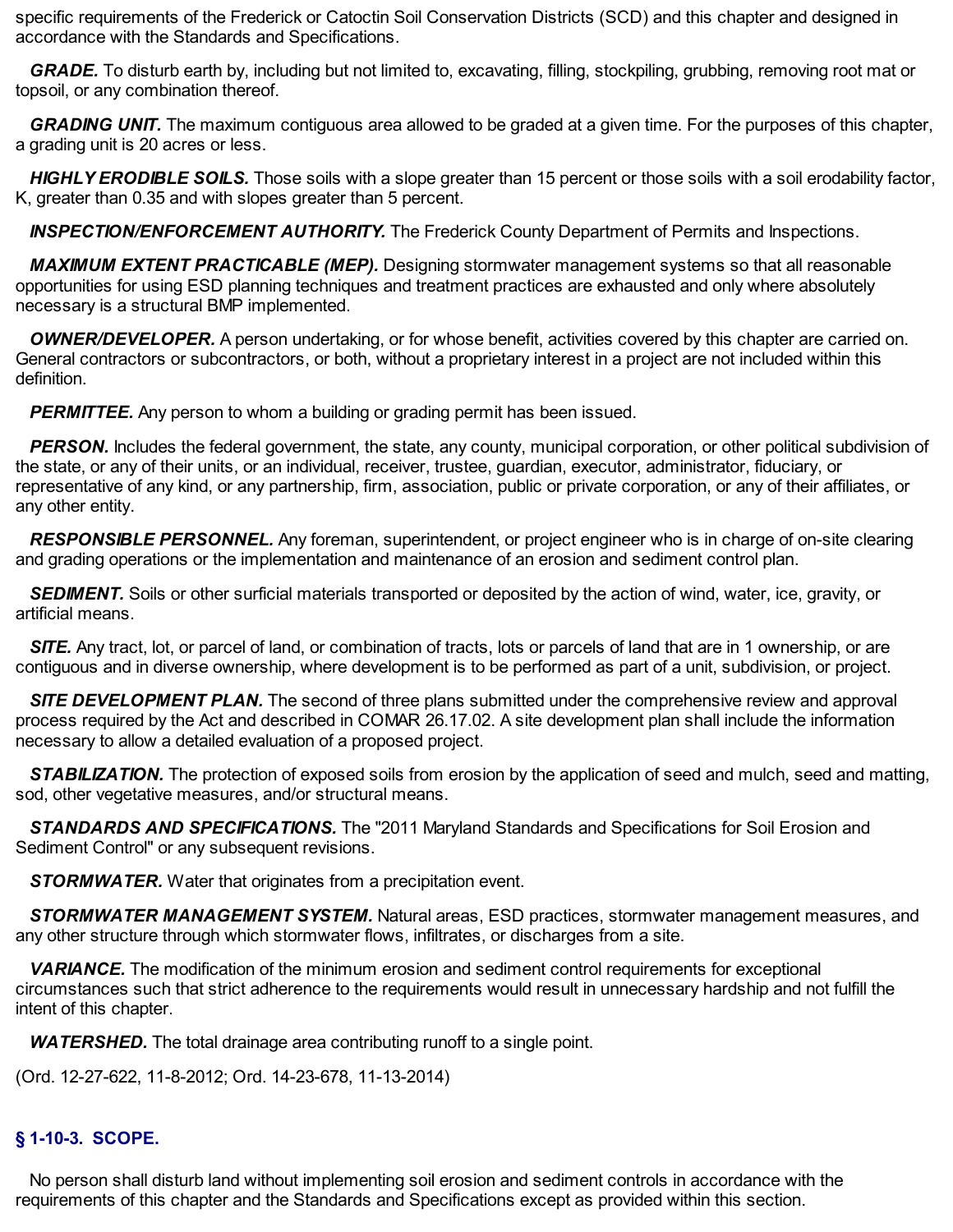specific requirements of the Frederick or Catoctin Soil Conservation Districts (SCD) and this chapter and designed in accordance with the Standards and Specifications.

 topsoil, or any combination thereof. *GRADE.* To disturb earth by, including but not limited to, excavating, filling, stockpiling, grubbing, removing root mat or

 a grading unit is 20 acres or less. *GRADING UNIT.* The maximum contiguous area allowed to be graded at a given time. For the purposes of this chapter,

 K, greater than 0.35 and with slopes greater than 5 percent. *HIGHLY ERODIBLE SOILS.* Those soils with a slope greater than 15 percent or those soils with a soil erodability factor,

*INSPECTION/ENFORCEMENT AUTHORITY.* The Frederick County Department of Permits and Inspections.

 opportunities for using ESD planning techniques and treatment practices are exhausted and only where absolutely necessary is a structural BMP implemented. *MAXIMUM EXTENT PRACTICABLE (MEP).* Designing stormwater management systems so that all reasonable

 General contractors or subcontractors, or both, without a proprietary interest in a project are not included within this *OWNER/DEVELOPER.* A person undertaking, or for whose benefit, activities covered by this chapter are carried on. definition.

**PERMITTEE.** Any person to whom a building or grading permit has been issued.

 the state, or any of their units, or an individual, receiver, trustee, guardian, executor, administrator, fiduciary, or representative of any kind, or any partnership, firm, association, public or private corporation, or any of their affiliates, or any other entity. **PERSON.** Includes the federal government, the state, any county, municipal corporation, or other political subdivision of

 and grading operations or the implementation and maintenance of an erosion and sediment control plan. *RESPONSIBLE PERSONNEL.* Any foreman, superintendent, or project engineer who is in charge of on-site clearing

**SEDIMENT.** Soils or other surficial materials transported or deposited by the action of wind, water, ice, gravity, or artificial means.

 contiguous and in diverse ownership, where development is to be performed as part of a unit, subdivision, or project. **SITE.** Any tract, lot, or parcel of land, or combination of tracts, lots or parcels of land that are in 1 ownership, or are

 process required by the Act and described in COMAR [26.17.02.](https://26.17.02) A site development plan shall include the information necessary to allow a detailed evaluation of a proposed project. *SITE DEVELOPMENT PLAN.* The second of three plans submitted under the comprehensive review and approval

 sod, other vegetative measures, and/or structural means. *STABILIZATION.* The protection of exposed soils from erosion by the application of seed and mulch, seed and matting,

 Sediment Control" or any subsequent revisions. *STANDARDS AND SPECIFICATIONS.* The "2011 Maryland Standards and Specifications for Soil Erosion and

*STORMWATER.* Water that originates from a precipitation event.

 any other structure through which stormwater flows, infiltrates, or discharges from a site. *STORMWATER MANAGEMENT SYSTEM.* Natural areas, ESD practices, stormwater management measures, and

 circumstances such that strict adherence to the requirements would result in unnecessary hardship and not fulfill the intent of this chapter. *VARIANCE.* The modification of the minimum erosion and sediment control requirements for exceptional

**WATERSHED.** The total drainage area contributing runoff to a single point.

(Ord. 12-27-622, 11-8-2012; Ord. 14-23-678, 11-13-2014)

# **§ 1-10-3. SCOPE.**

 requirements of this chapter and the Standards and Specifications except as provided within this section.No person shall disturb land without implementing soil erosion and sediment controls in accordance with the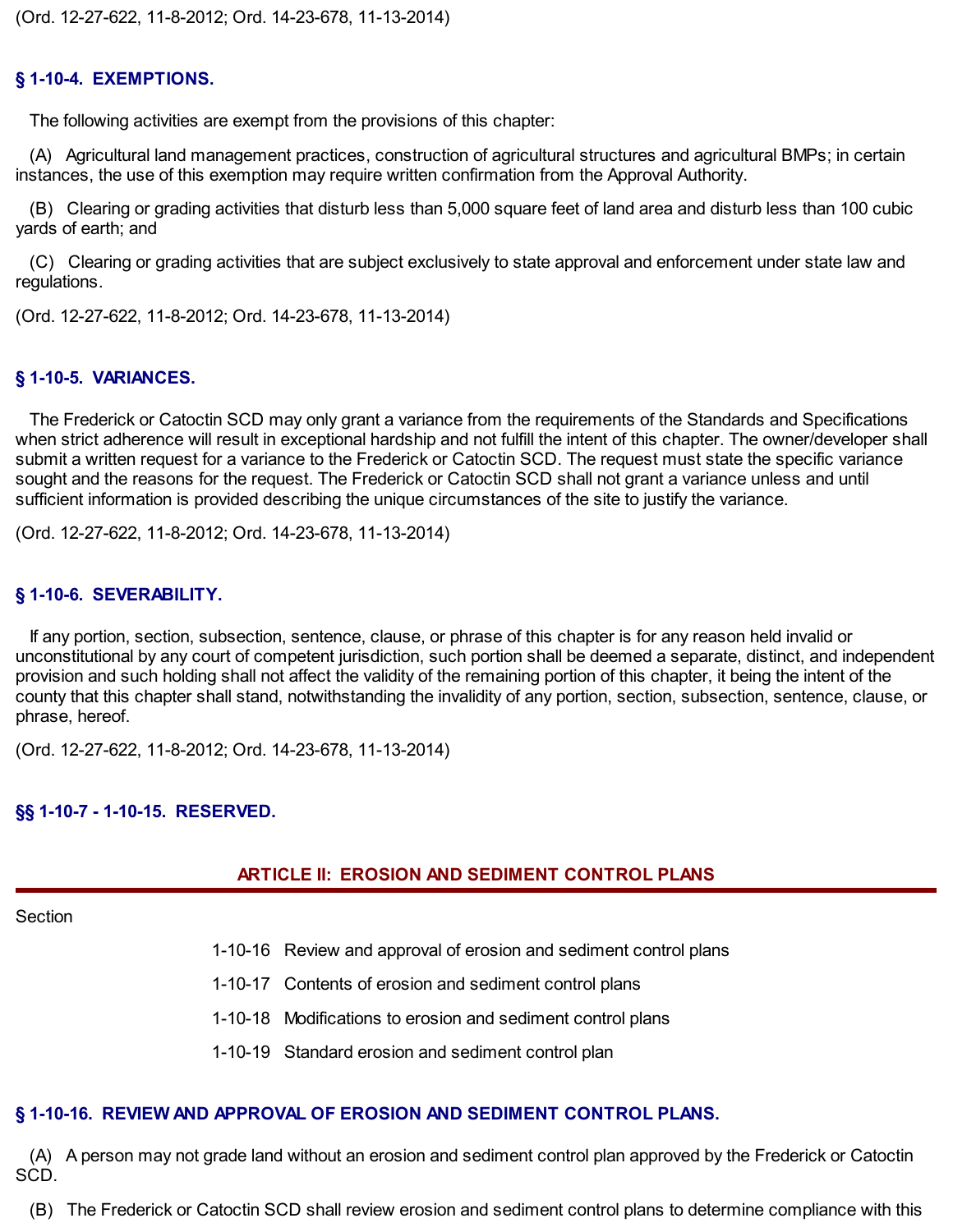### **§ 1-10-4. EXEMPTIONS.**

The following activities are exempt from the provisions of this chapter:

 instances, the use of this exemption may require written confirmation from the Approval Authority. (A) Agricultural land management practices, construction of agricultural structures and agricultural BMPs; in certain

 yards of earth; and (B) Clearing or grading activities that disturb less than 5,000 square feet of land area and disturb less than 100 cubic

(C) Clearing or grading activities that are subject exclusively to state approval and enforcement under state law and regulations.

(Ord. 12-27-622, 11-8-2012; Ord. 14-23-678, 11-13-2014)

### **§ 1-10-5. VARIANCES.**

 when strict adherence will result in exceptional hardship and not fulfill the intent of this chapter. The owner/developer shall submit a written request for a variance to the Frederick or Catoctin SCD. The request must state the specific variance sufficient information is provided describing the unique circumstances of the site to justify the variance. The Frederick or Catoctin SCD may only grant a variance from the requirements of the Standards and Specifications sought and the reasons for the request. The Frederick or Catoctin SCD shall not grant a variance unless and until

(Ord. 12-27-622, 11-8-2012; Ord. 14-23-678, 11-13-2014)

### **§ 1-10-6. SEVERABILITY.**

 unconstitutional by any court of competent jurisdiction, such portion shall be deemed a separate, distinct, and independent provision and such holding shall not affect the validity of the remaining portion of this chapter, it being the intent of the county that this chapter shall stand, notwithstanding the invalidity of any portion, section, subsection, sentence, clause, or If any portion, section, subsection, sentence, clause, or phrase of this chapter is for any reason held invalid or phrase, hereof.

(Ord. 12-27-622, 11-8-2012; Ord. 14-23-678, 11-13-2014)

### **§§ 1-10-7 - 1-10-15. RESERVED.**

### **ARTICLE II: EROSION AND SEDIMENT CONTROL PLANS**

#### **Section**

- 1-10-16 Review and approval of erosion and sediment control plans
- 1-10-17 Contents of erosion and sediment control plans
- 1-10-18 Modifications to erosion and sediment control plans
- 1-10-19 Standard erosion and sediment control plan

# **§ 1-10-16. REVIEW AND APPROVAL OF EROSION AND SEDIMENT CONTROL PLANS.**

(A) A person may not grade land without an erosion and sediment control plan approved by the Frederick or Catoctin SCD.

(B) The Frederick or Catoctin SCD shall review erosion and sediment control plans to determine compliance with this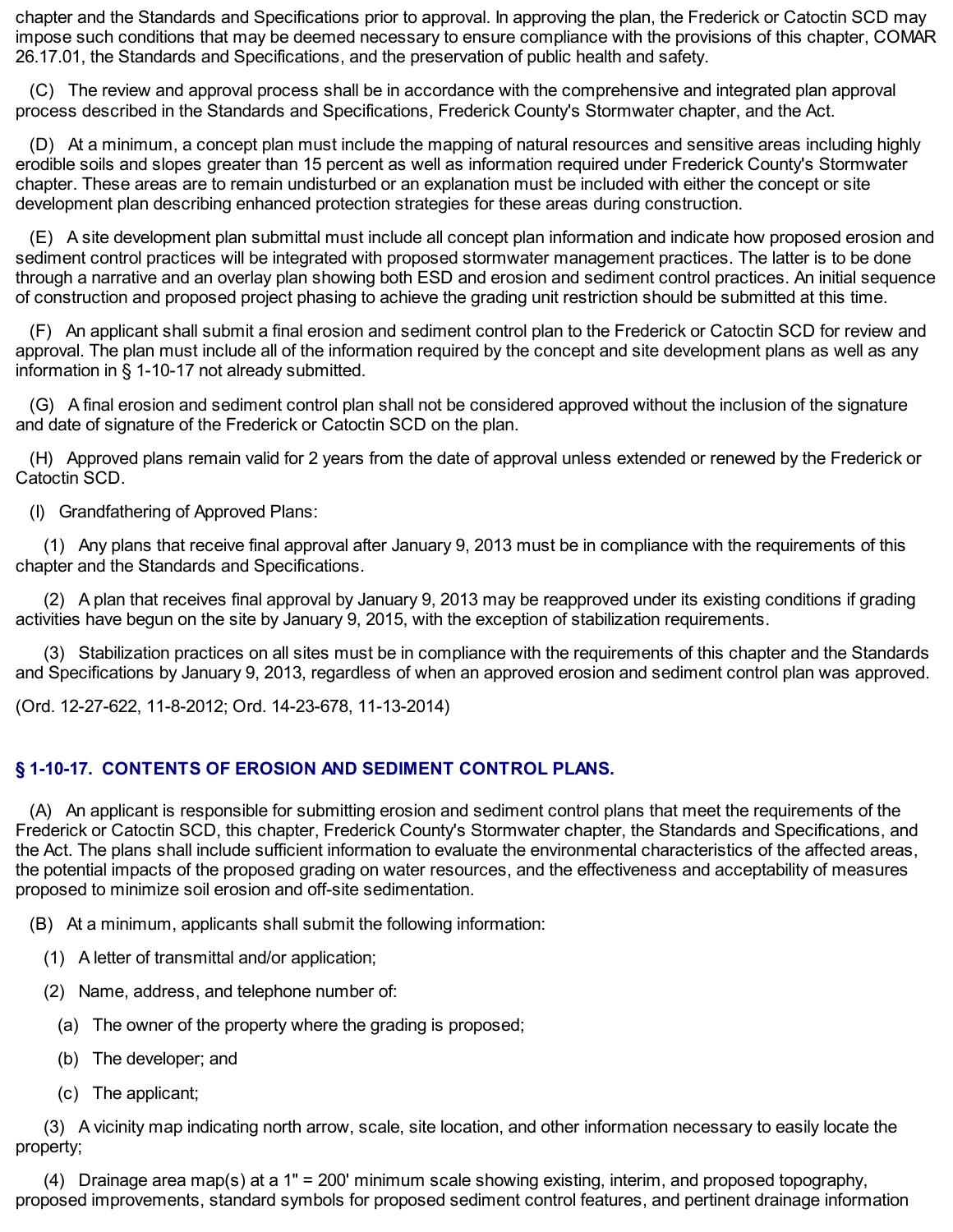chapter and the Standards and Specifications prior to approval. In approving the plan, the Frederick or Catoctin SCD may impose such conditions that may be deemed necessary to ensure compliance with the provisions of this chapter, COMAR [26.17.01](https://26.17.01), the Standards and Specifications, and the preservation of public health and safety.

 process described in the Standards and Specifications, Frederick County's Stormwater chapter, and the Act. (C) The review and approval process shall be in accordance with the comprehensive and integrated plan approval

 erodible soils and slopes greater than 15 percent as well as information required under Frederick County's Stormwater chapter. These areas are to remain undisturbed or an explanation must be included with either the concept or site development plan describing enhanced protection strategies for these areas during construction. (D) At a minimum, a concept plan must include the mapping of natural resources and sensitive areas including highly

 sediment control practices will be integrated with proposed stormwater management practices. The latter is to be done through a narrative and an overlay plan showing both ESD and erosion and sediment control practices. An initial sequence of construction and proposed project phasing to achieve the grading unit restriction should be submitted at this time. (E) A site development plan submittal must include all concept plan information and indicate how proposed erosion and

 approval. The plan must include all of the information required by the concept and site development plans as well as any information in § 1-10-17 not already submitted. (F) An applicant shall submit a final erosion and sediment control plan to the Frederick or Catoctin SCD for review and

 and date of signature of the Frederick or Catoctin SCD on the plan. (G) A final erosion and sediment control plan shall not be considered approved without the inclusion of the signature

(H) Approved plans remain valid for 2 years from the date of approval unless extended or renewed by the Frederick or Catoctin SCD.

(I) Grandfathering of Approved Plans:

 (1) Any plans that receive final approval after January 9, 2013 must be in compliance with the requirements of this chapter and the Standards and Specifications.

 activities have begun on the site by January 9, 2015, with the exception of stabilization requirements. (2) A plan that receives final approval by January 9, 2013 may be reapproved under its existing conditions if grading

 and Specifications by January 9, 2013, regardless of when an approved erosion and sediment control plan was approved. (3) Stabilization practices on all sites must be in compliance with the requirements of this chapter and the Standards

(Ord. 12-27-622, 11-8-2012; Ord. 14-23-678, 11-13-2014)

### **§ 1-10-17. CONTENTS OF EROSION AND SEDIMENT CONTROL PLANS.**

 Frederick or Catoctin SCD, this chapter, Frederick County's Stormwater chapter, the Standards and Specifications, and the Act. The plans shall include sufficient information to evaluate the environmental characteristics of the affected areas, the potential impacts of the proposed grading on water resources, and the effectiveness and acceptability of measures proposed to minimize soil erosion and off-site sedimentation. (A) An applicant is responsible for submitting erosion and sediment control plans that meet the requirements of the

(B) At a minimum, applicants shall submit the following information:

- (1) A letter of transmittal and/or application;
- (2) Name, address, and telephone number of:
	- (a) The owner of the property where the grading is proposed;
	- (b) The developer; and
	- (c) The applicant;

(3) A vicinity map indicating north arrow, scale, site location, and other information necessary to easily locate the property;

 proposed improvements, standard symbols for proposed sediment control features, and pertinent drainage information(4) Drainage area map(s) at a 1" = 200' minimum scale showing existing, interim, and proposed topography,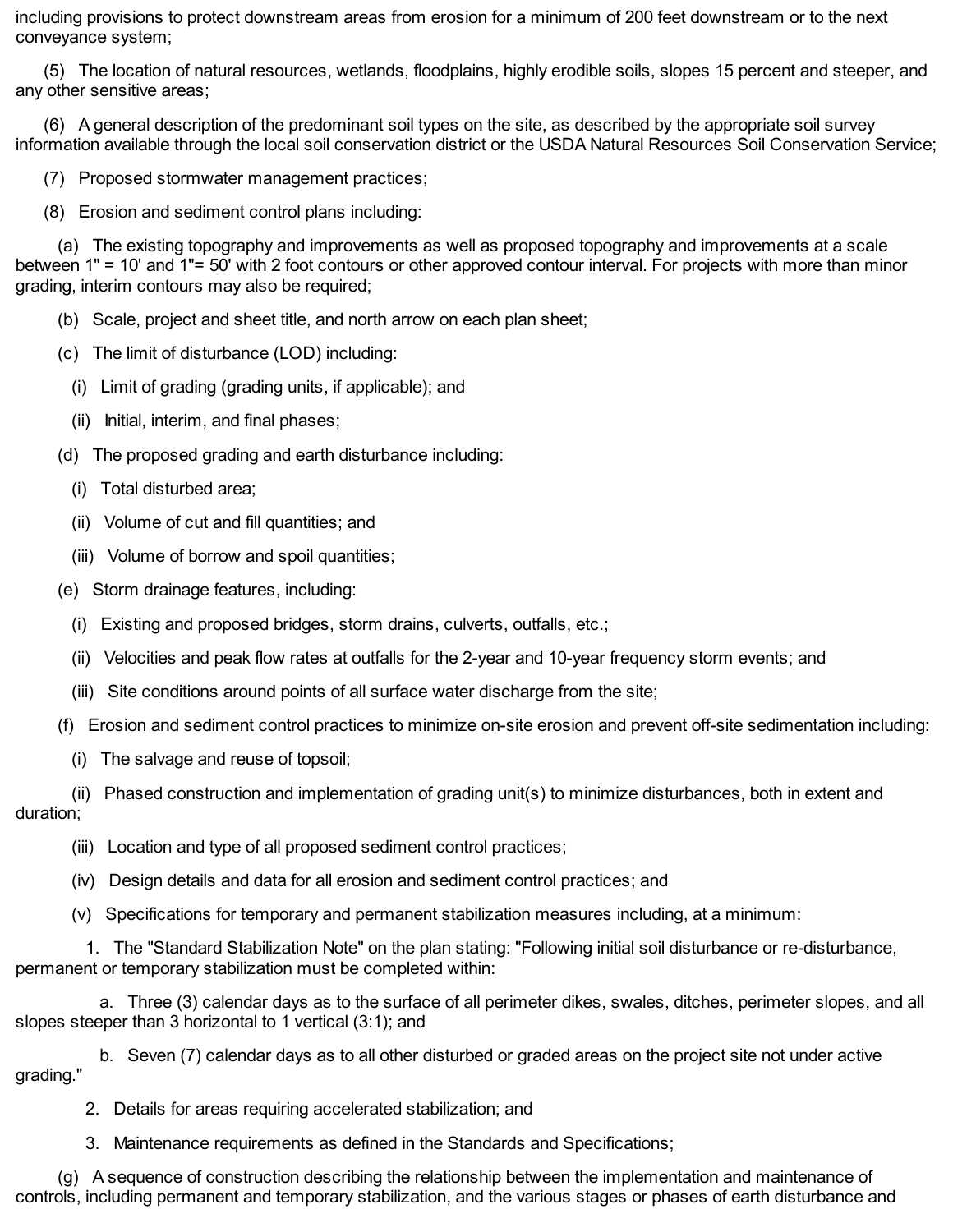including provisions to protect downstream areas from erosion for a minimum of 200 feet downstream or to the next conveyance system;

 any other sensitive areas; (5) The location of natural resources, wetlands, floodplains, highly erodible soils, slopes 15 percent and steeper, and

 information available through the local soil conservation district or the USDA Natural Resources Soil Conservation Service; (6) A general description of the predominant soil types on the site, as described by the appropriate soil survey

(7) Proposed stormwater management practices;

(8) Erosion and sediment control plans including:

 between 1" = 10' and 1"= 50' with 2 foot contours or other approved contour interval. For projects with more than minor grading, interim contours may also be required; (a) The existing topography and improvements as well as proposed topography and improvements at a scale

- (b) Scale, project and sheet title, and north arrow on each plan sheet;
- (c) The limit of disturbance (LOD) including:
	- (i) Limit of grading (grading units, if applicable); and
	- (ii) Initial, interim, and final phases;
- (d) The proposed grading and earth disturbance including:
	- (i) Total disturbed area;
	- (ii) Volume of cut and fill quantities; and
	- (iii) Volume of borrow and spoil quantities;
- (e) Storm drainage features, including:
	- (i) Existing and proposed bridges, storm drains, culverts, outfalls, etc.;
	- (ii) Velocities and peak flow rates at outfalls for the 2-year and 10-year frequency storm events; and
	- (iii) Site conditions around points of all surface water discharge from the site;
- (f) Erosion and sediment control practices to minimize on-site erosion and prevent off-site sedimentation including:
	- (i) The salvage and reuse of topsoil;
- (ii) Phased construction and implementation of grading unit(s) to minimize disturbances, both in extent and duration;
	- (iii) Location and type of all proposed sediment control practices;
	- (iv) Design details and data for all erosion and sediment control practices; and
	- (v) Specifications for temporary and permanent stabilization measures including, at a minimum:

 permanent or temporary stabilization must be completed within: 1. The "Standard Stabilization Note" on the plan stating: "Following initial soil disturbance or re-disturbance,

 slopes steeper than 3 horizontal to 1 vertical (3:1); and a. Three (3) calendar days as to the surface of all perimeter dikes, swales, ditches, perimeter slopes, and all

b. Seven (7) calendar days as to all other disturbed or graded areas on the project site not under active grading."

- 2. Details for areas requiring accelerated stabilization; and
- 3. Maintenance requirements as defined in the Standards and Specifications;

 controls, including permanent and temporary stabilization, and the various stages or phases of earth disturbance and(g) A sequence of construction describing the relationship between the implementation and maintenance of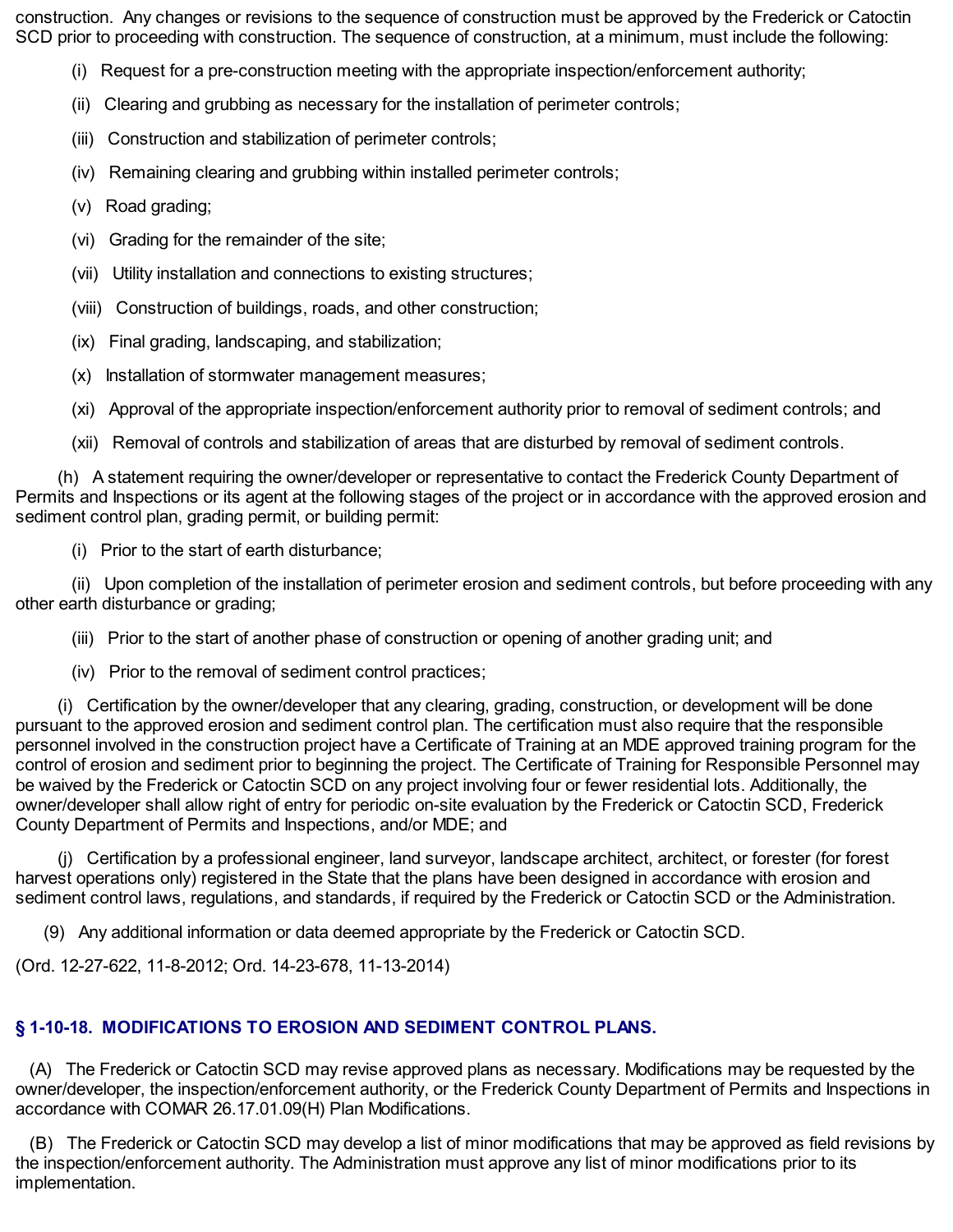construction. Any changes or revisions to the sequence of construction must be approved by the Frederick or Catoctin SCD prior to proceeding with construction. The sequence of construction, at a minimum, must include the following:

- (i) Request for a pre-construction meeting with the appropriate inspection/enforcement authority;
- (ii) Clearing and grubbing as necessary for the installation of perimeter controls;
- (iii) Construction and stabilization of perimeter controls;
- (iv) Remaining clearing and grubbing within installed perimeter controls;
- (v) Road grading;
- (vi) Grading for the remainder of the site;
- (vii) Utility installation and connections to existing structures;
- (viii) Construction of buildings, roads, and other construction;
- (ix) Final grading, landscaping, and stabilization;
- (x) Installation of stormwater management measures;

(xi) Approval of the appropriate inspection/enforcement authority prior to removal of sediment controls; and

(xii) Removal of controls and stabilization of areas that are disturbed by removal of sediment controls.

 Permits and Inspections or its agent at the following stages of the project or in accordance with the approved erosion and sediment control plan, grading permit, or building permit: (h) A statement requiring the owner/developer or representative to contact the Frederick County Department of

(i) Prior to the start of earth disturbance;

 other earth disturbance or grading; (ii) Upon completion of the installation of perimeter erosion and sediment controls, but before proceeding with any

(iii) Prior to the start of another phase of construction or opening of another grading unit; and

(iv) Prior to the removal of sediment control practices;

 pursuant to the approved erosion and sediment control plan. The certification must also require that the responsible personnel involved in the construction project have a Certificate of Training at an MDE approved training program for the control of erosion and sediment prior to beginning the project. The Certificate of Training for Responsible Personnel may be waived by the Frederick or Catoctin SCD on any project involving four or fewer residential lots. Additionally, the owner/developer shall allow right of entry for periodic on-site evaluation by the Frederick or Catoctin SCD, Frederick County Department of Permits and Inspections, and/or MDE; and (i) Certification by the owner/developer that any clearing, grading, construction, or development will be done

 harvest operations only) registered in the State that the plans have been designed in accordance with erosion and sediment control laws, regulations, and standards, if required by the Frederick or Catoctin SCD or the Administration. (j) Certification by a professional engineer, land surveyor, landscape architect, architect, or forester (for forest

(9) Any additional information or data deemed appropriate by the Frederick or Catoctin SCD.

(Ord. 12-27-622, 11-8-2012; Ord. 14-23-678, 11-13-2014)

# **§ 1-10-18. MODIFICATIONS TO EROSION AND SEDIMENT CONTROL PLANS.**

 owner/developer, the inspection/enforcement authority, or the Frederick County Department of Permits and Inspections in accordance with COMAR 26.17.01.09(H) Plan Modifications. (A) The Frederick or Catoctin SCD may revise approved plans as necessary. Modifications may be requested by the

 the inspection/enforcement authority. The Administration must approve any list of minor modifications prior to its (B) The Frederick or Catoctin SCD may develop a list of minor modifications that may be approved as field revisions by implementation.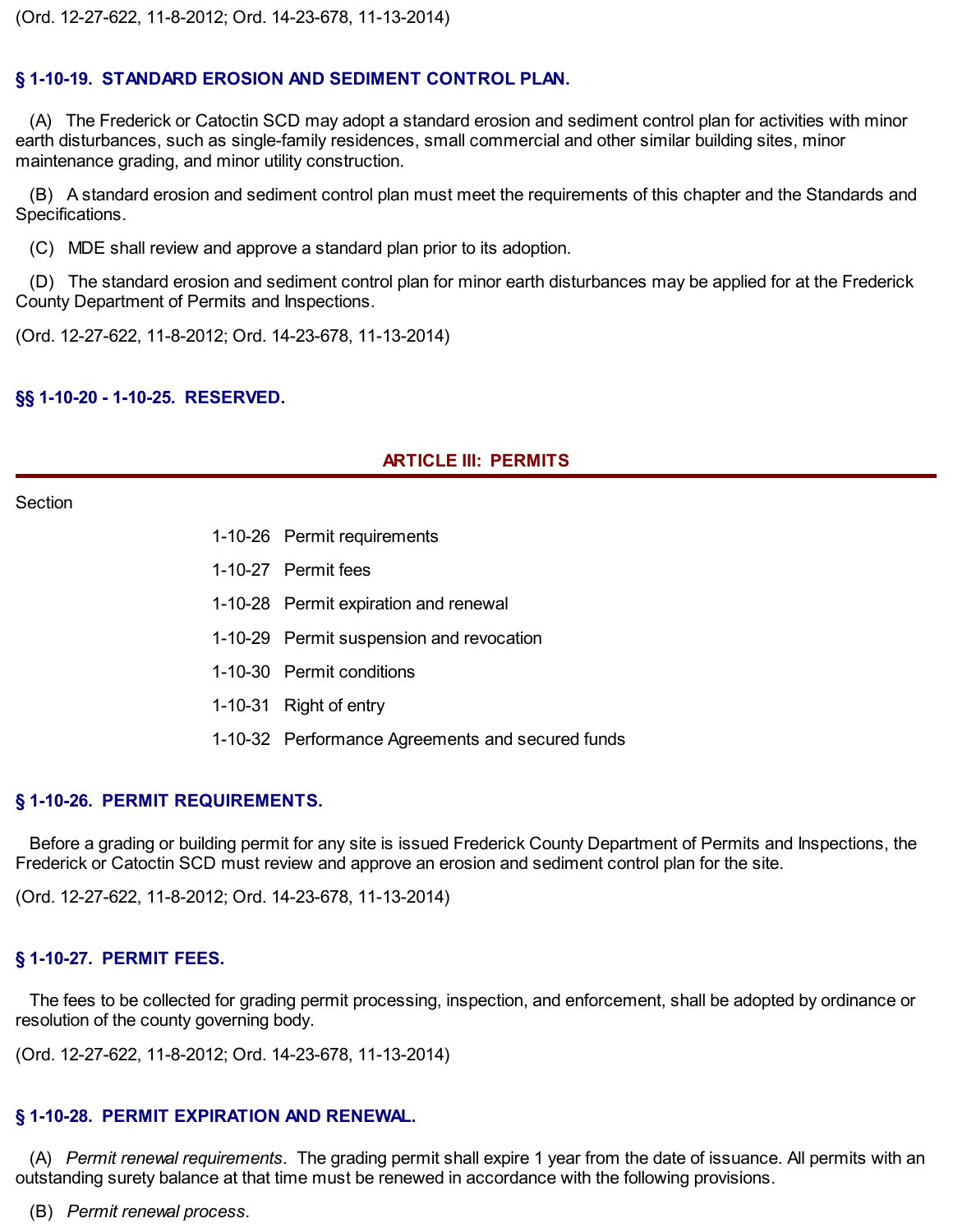(Ord. 12-27-622, 11-8-2012; Ord. 14-23-678, 11-13-2014)

### **§ 1-10-19. STANDARD EROSION AND SEDIMENT CONTROL PLAN.**

 earth disturbances, such as single-family residences, small commercial and other similar building sites, minor maintenance grading, and minor utility construction. (A) The Frederick or Catoctin SCD may adopt a standard erosion and sediment control plan for activities with minor

(B) A standard erosion and sediment control plan must meet the requirements of this chapter and the Standards and Specifications.

(C) MDE shall review and approve a standard plan prior to its adoption.

 County Department of Permits and Inspections. (D) The standard erosion and sediment control plan for minor earth disturbances may be applied for at the Frederick

(Ord. 12-27-622, 11-8-2012; Ord. 14-23-678, 11-13-2014)

#### **§§ 1-10-20 - 1-10-25. RESERVED.**

### **ARTICLE III: PERMITS**

#### Section

- 1-10-26 Permit requirements
- 1-10-27 Permit fees
- 1-10-28 Permit expiration and renewal
- 1-10-29 Permit suspension and revocation
- 1-10-30 Permit conditions
- 1-10-31 Right of entry
- 1-10-32 Performance Agreements and secured funds

#### **§ 1-10-26. PERMIT REQUIREMENTS.**

 Frederick or Catoctin SCD must review and approve an erosion and sediment control plan for the site. Before a grading or building permit for any site is issued Frederick County Department of Permits and Inspections, the

(Ord. 12-27-622, 11-8-2012; Ord. 14-23-678, 11-13-2014)

### **§ 1-10-27. PERMIT FEES.**

 resolution of the county governing body. The fees to be collected for grading permit processing, inspection, and enforcement, shall be adopted by ordinance or

(Ord. 12-27-622, 11-8-2012; Ord. 14-23-678, 11-13-2014)

# **§ 1-10-28. PERMIT EXPIRATION AND RENEWAL.**

 outstanding surety balance at that time must be renewed in accordance with the following provisions. (A) *Permit renewal requirements.* The grading permit shall expire 1 year from the date of issuance. All permits with an

(B) *Permit renewal process.*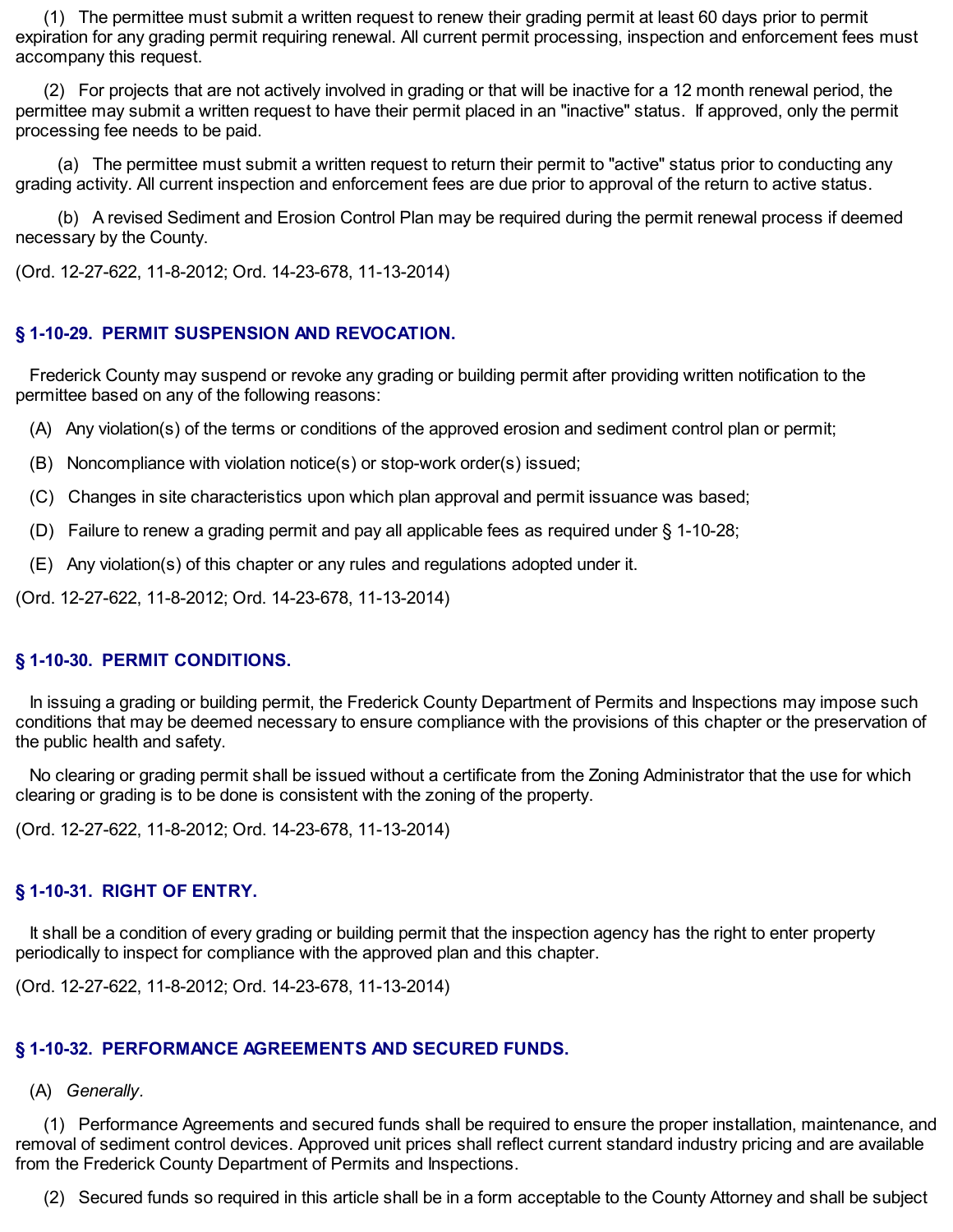expiration for any grading permit requiring renewal. All current permit processing, inspection and enforcement fees must accompany this request. (1) The permittee must submit a written request to renew their grading permit at least 60 days prior to permit

 permittee may submit a written request to have their permit placed in an "inactive" status. If approved, only the permit processing fee needs to be paid. (2) For projects that are not actively involved in grading or that will be inactive for a 12 month renewal period, the

 grading activity. All current inspection and enforcement fees are due prior to approval of the return to active status. (a) The permittee must submit a written request to return their permit to "active" status prior to conducting any

 necessary by the County. (b) A revised Sediment and Erosion Control Plan may be required during the permit renewal process if deemed

(Ord. 12-27-622, 11-8-2012; Ord. 14-23-678, 11-13-2014)

### **§ 1-10-29. PERMIT SUSPENSION AND REVOCATION.**

 permittee based on any of the following reasons: Frederick County may suspend or revoke any grading or building permit after providing written notification to the

- (A) Any violation(s) of the terms or conditions of the approved erosion and sediment control plan or permit;
- (B) Noncompliance with violation notice(s) or stop-work order(s) issued;
- (C) Changes in site characteristics upon which plan approval and permit issuance was based;
- (D) Failure to renew a grading permit and pay all applicable fees as required under § 1-10-28;
- (E) Any violation(s) of this chapter or any rules and regulations adopted under it.

(Ord. 12-27-622, 11-8-2012; Ord. 14-23-678, 11-13-2014)

### **§ 1-10-30. PERMIT CONDITIONS.**

 conditions that may be deemed necessary to ensure compliance with the provisions of this chapter or the preservation of the public health and safety. In issuing a grading or building permit, the Frederick County Department of Permits and Inspections may impose such

 clearing or grading is to be done is consistent with the zoning of the property. No clearing or grading permit shall be issued without a certificate from the Zoning Administrator that the use for which

(Ord. 12-27-622, 11-8-2012; Ord. 14-23-678, 11-13-2014)

### **§ 1-10-31. RIGHT OF ENTRY.**

 periodically to inspect for compliance with the approved plan and this chapter. It shall be a condition of every grading or building permit that the inspection agency has the right to enter property

(Ord. 12-27-622, 11-8-2012; Ord. 14-23-678, 11-13-2014)

### **§ 1-10-32. PERFORMANCE AGREEMENTS AND SECURED FUNDS.**

(A) *Generally.*

 removal of sediment control devices. Approved unit prices shall reflect current standard industry pricing and are available from the Frederick County Department of Permits and Inspections. (1) Performance Agreements and secured funds shall be required to ensure the proper installation, maintenance, and

(2) Secured funds so required in this article shall be in a form acceptable to the County Attorney and shall be subject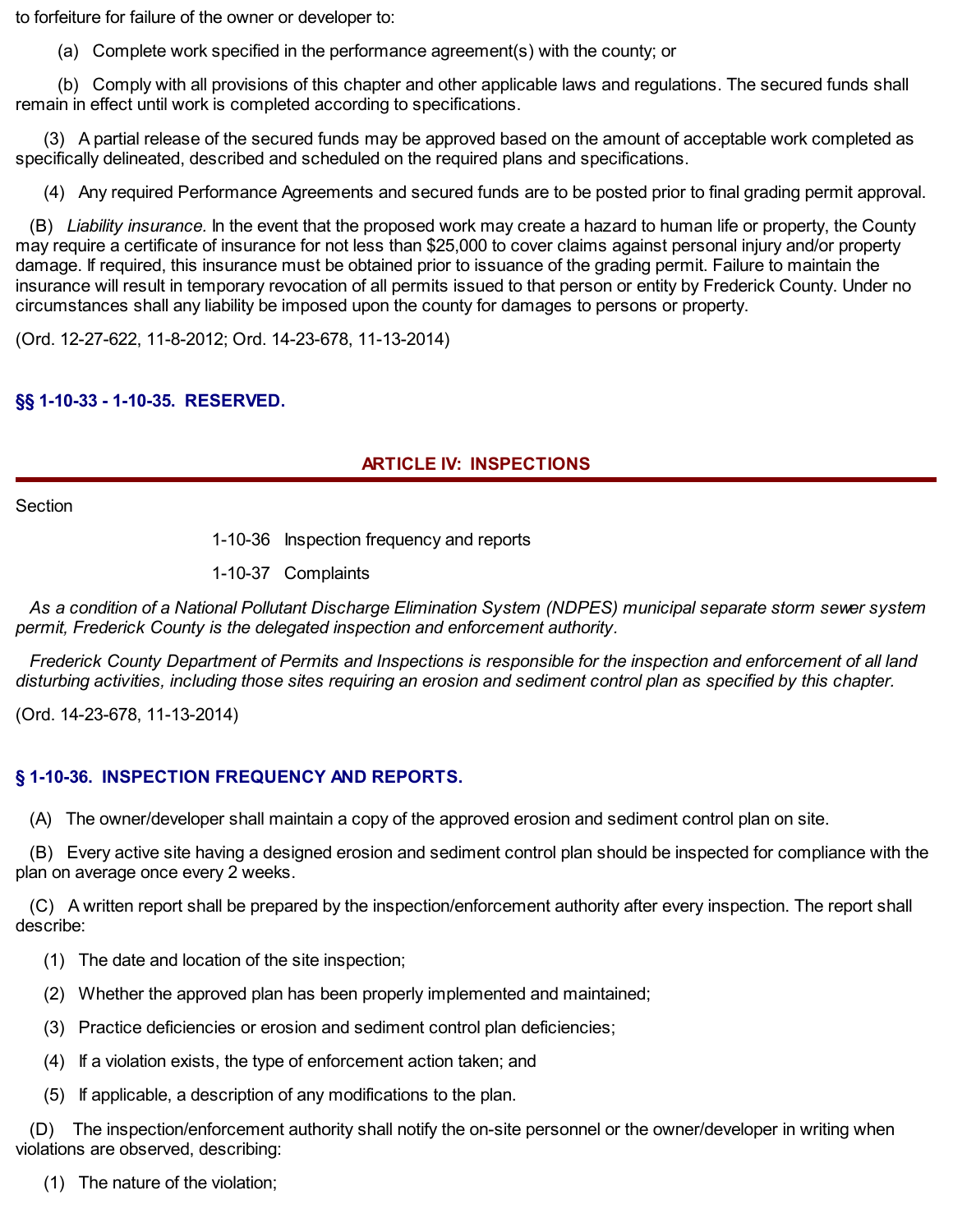to forfeiture for failure of the owner or developer to:

(a) Complete work specified in the performance agreement(s) with the county; or

 remain in effect until work is completed according to specifications. (b) Comply with all provisions of this chapter and other applicable laws and regulations. The secured funds shall

 specifically delineated, described and scheduled on the required plans and specifications. (3) A partial release of the secured funds may be approved based on the amount of acceptable work completed as

(4) Any required Performance Agreements and secured funds are to be posted prior to final grading permit approval.

 may require a certificate of insurance for not less than \$25,000 to cover claims against personal injury and/or property damage. If required, this insurance must be obtained prior to issuance of the grading permit. Failure to maintain the insurance will result in temporary revocation of all permits issued to that person or entity by Frederick County. Under no circumstances shall any liability be imposed upon the county for damages to persons or property. (B) *Liability insurance.* In the event that the proposed work may create a hazard to human life or property, the County

(Ord. 12-27-622, 11-8-2012; Ord. 14-23-678, 11-13-2014)

# **§§ 1-10-33 - 1-10-35. RESERVED.**

# **ARTICLE IV: INSPECTIONS**

**Section** 

1-10-36 Inspection frequency and reports

1-10-37 Complaints

 *permit, Frederick County is the delegated inspection and enforcement authority.* As a condition of a National Pollutant Discharge Elimination System (NDPES) municipal separate storm sewer system

disturbing activities, including those sites requiring an erosion and sediment control plan as specified by this chapter. Frederick County Department of Permits and Inspections is responsible for the inspection and enforcement of all land

(Ord. 14-23-678, 11-13-2014)

# **§ 1-10-36. INSPECTION FREQUENCY AND REPORTS.**

(A) The owner/developer shall maintain a copy of the approved erosion and sediment control plan on site.

 plan on average once every 2 weeks. (B) Every active site having a designed erosion and sediment control plan should be inspected for compliance with the

(C) A written report shall be prepared by the inspection/enforcement authority after every inspection. The report shall describe:

- (1) The date and location of the site inspection;
- (2) Whether the approved plan has been properly implemented and maintained;
- (3) Practice deficiencies or erosion and sediment control plan deficiencies;
- (4) If a violation exists, the type of enforcement action taken; and
- (5) If applicable, a description of any modifications to the plan.

 violations are observed, describing: (D) The inspection/enforcement authority shall notify the on-site personnel or the owner/developer in writing when

(1) The nature of the violation;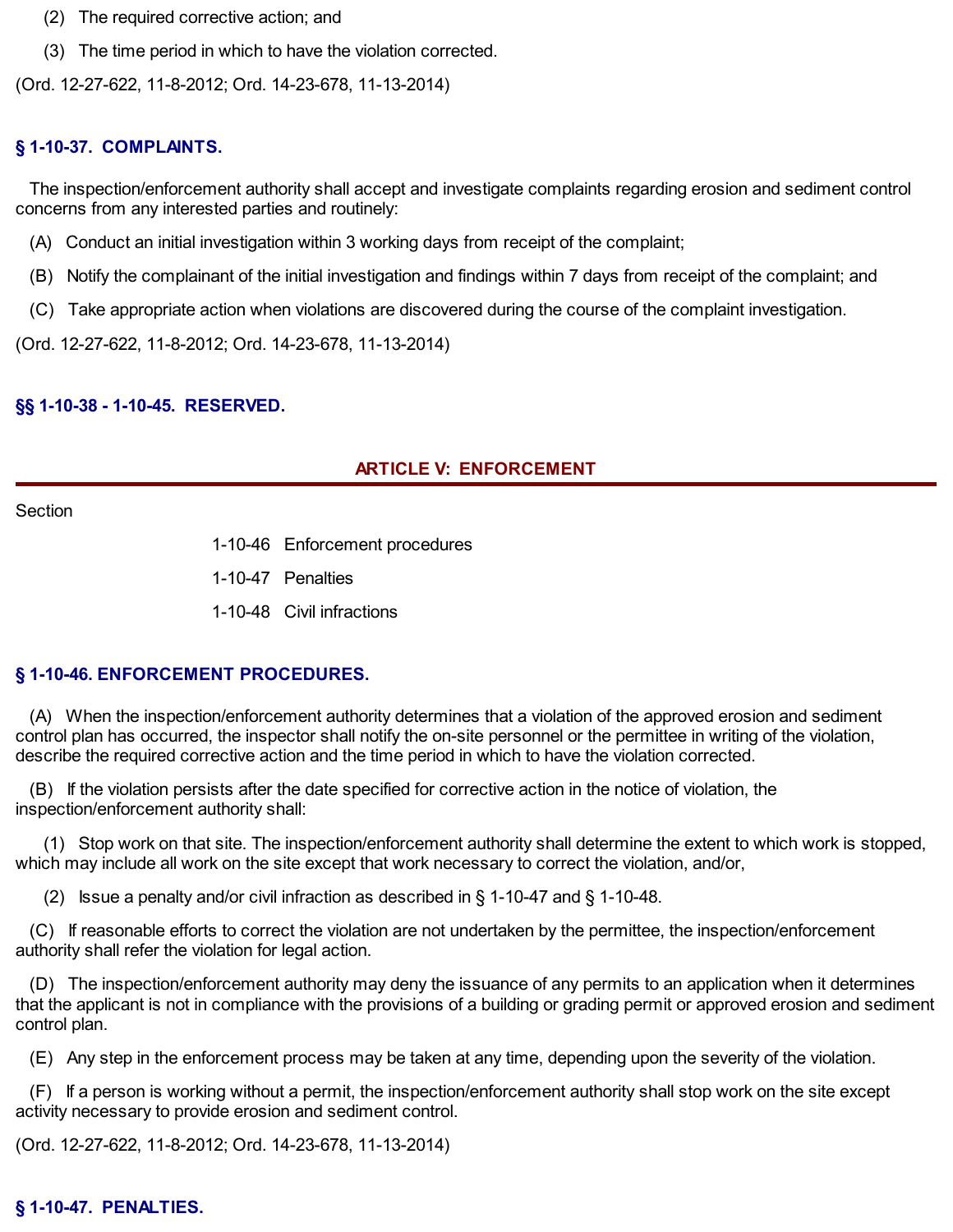- (2) The required corrective action; and
- (3) The time period in which to have the violation corrected.

(Ord. 12-27-622, 11-8-2012; Ord. 14-23-678, 11-13-2014)

# **§ 1-10-37. COMPLAINTS.**

 concerns from any interested parties and routinely: The inspection/enforcement authority shall accept and investigate complaints regarding erosion and sediment control

- (A) Conduct an initial investigation within 3 working days from receipt of the complaint;
- (B) Notify the complainant of the initial investigation and findings within 7 days from receipt of the complaint; and
- (C) Take appropriate action when violations are discovered during the course of the complaint investigation.

(Ord. 12-27-622, 11-8-2012; Ord. 14-23-678, 11-13-2014)

#### **§§ 1-10-38 - 1-10-45. RESERVED.**

### **ARTICLE V: ENFORCEMENT**

Section

- 1-10-46 Enforcement procedures
- 1-10-47 Penalties
- 1-10-48 Civil infractions

### **§ 1-10-46. ENFORCEMENT PROCEDURES.**

 control plan has occurred, the inspector shall notify the on-site personnel or the permittee in writing of the violation, describe the required corrective action and the time period in which to have the violation corrected. (A) When the inspection/enforcement authority determines that a violation of the approved erosion and sediment

 inspection/enforcement authority shall: (B) If the violation persists after the date specified for corrective action in the notice of violation, the

 which may include all work on the site except that work necessary to correct the violation, and/or, (1) Stop work on that site. The inspection/enforcement authority shall determine the extent to which work is stopped,

(2) Issue a penalty and/or civil infraction as described in § 1-10-47 and § 1-10-48.

 authority shall refer the violation for legal action. (C) If reasonable efforts to correct the violation are not undertaken by the permittee, the inspection/enforcement

 that the applicant is not in compliance with the provisions of a building or grading permit or approved erosion and sediment (D) The inspection/enforcement authority may deny the issuance of any permits to an application when it determines control plan.

(E) Any step in the enforcement process may be taken at any time, depending upon the severity of the violation.

 activity necessary to provide erosion and sediment control. (F) If a person is working without a permit, the inspection/enforcement authority shall stop work on the site except

(Ord. 12-27-622, 11-8-2012; Ord. 14-23-678, 11-13-2014)

#### **§ 1-10-47. PENALTIES.**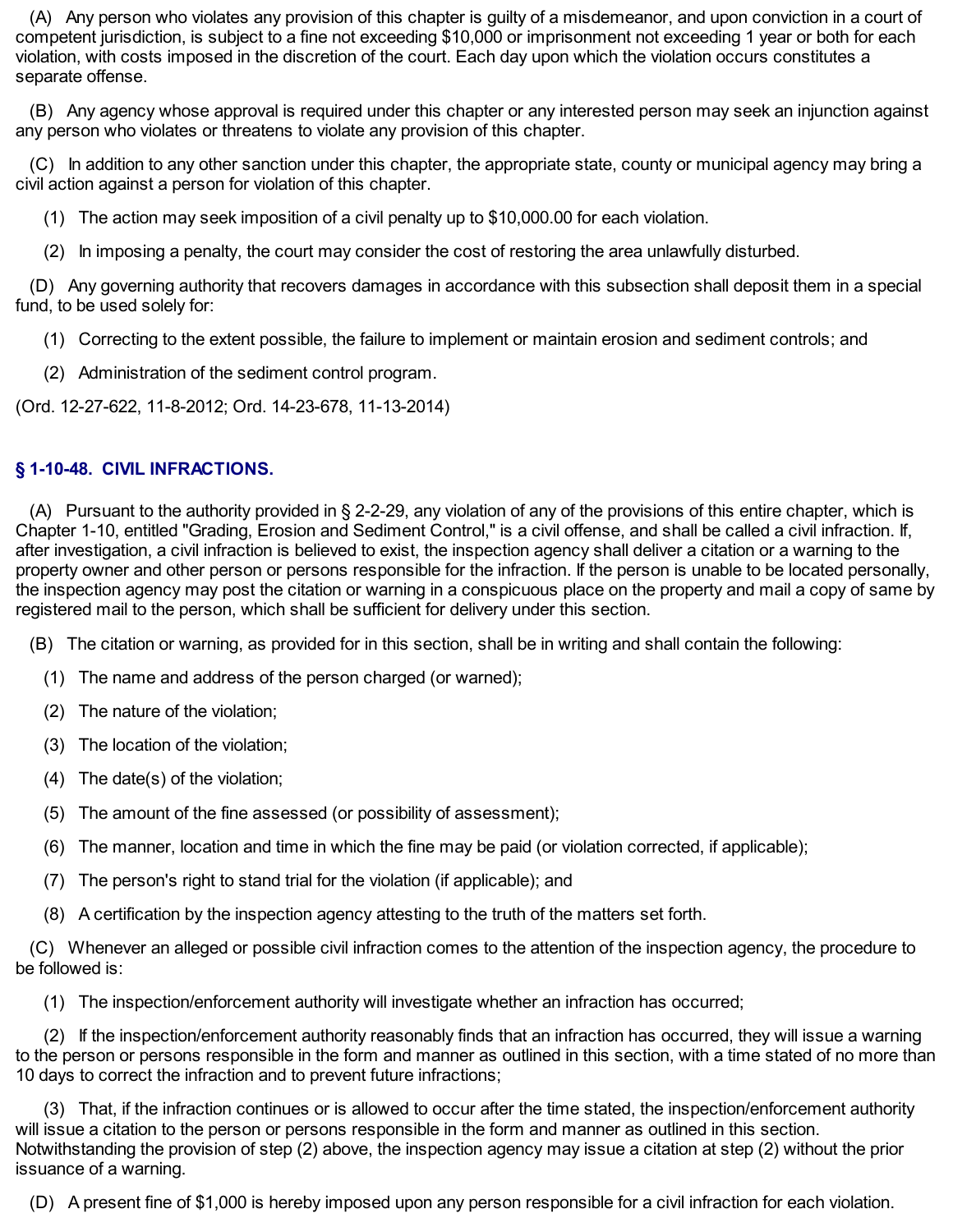competent jurisdiction, is subject to a fine not exceeding \$10,000 or imprisonment not exceeding 1 year or both for each violation, with costs imposed in the discretion of the court. Each day upon which the violation occurs constitutes a (A) Any person who violates any provision of this chapter is guilty of a misdemeanor, and upon conviction in a court of separate offense.

 any person who violates or threatens to violate any provision of this chapter. (B) Any agency whose approval is required under this chapter or any interested person may seek an injunction against

 civil action against a person for violation of this chapter. (C) In addition to any other sanction under this chapter, the appropriate state, county or municipal agency may bring a

- (1) The action may seek imposition of a civil penalty up to [\\$10,000.00](https://10,000.00) for each violation.
- (2) In imposing a penalty, the court may consider the cost of restoring the area unlawfully disturbed.

 fund, to be used solely for: (D) Any governing authority that recovers damages in accordance with this subsection shall deposit them in a special

- (1) Correcting to the extent possible, the failure to implement or maintain erosion and sediment controls; and
- (2) Administration of the sediment control program.

(Ord. 12-27-622, 11-8-2012; Ord. 14-23-678, 11-13-2014)

# **§ 1-10-48. CIVIL INFRACTIONS.**

 Chapter 1-10, entitled "Grading, Erosion and Sediment Control," is a civil offense, and shall be called a civil infraction. If, after investigation, a civil infraction is believed to exist, the inspection agency shall deliver a citation or a warning to the property owner and other person or persons responsible for the infraction. If the person is unable to be located personally, the inspection agency may post the citation or warning in a conspicuous place on the property and mail a copy of same by registered mail to the person, which shall be sufficient for delivery under this section. (A) Pursuant to the authority provided in § 2-2-29, any violation of any of the provisions of this entire chapter, which is

- (B) The citation or warning, as provided for in this section, shall be in writing and shall contain the following:
	- (1) The name and address of the person charged (or warned);
	- (2) The nature of the violation;
	- (3) The location of the violation;
	- (4) The date(s) of the violation;
	- (5) The amount of the fine assessed (or possibility of assessment);
	- (6) The manner, location and time in which the fine may be paid (or violation corrected, if applicable);
	- (7) The person's right to stand trial for the violation (if applicable); and
	- (8) A certification by the inspection agency attesting to the truth of the matters set forth.

 be followed is: (C) Whenever an alleged or possible civil infraction comes to the attention of the inspection agency, the procedure to

(1) The inspection/enforcement authority will investigate whether an infraction has occurred;

 to the person or persons responsible in the form and manner as outlined in this section, with a time stated of no more than 10 days to correct the infraction and to prevent future infractions; (2) If the inspection/enforcement authority reasonably finds that an infraction has occurred, they will issue a warning

 will issue a citation to the person or persons responsible in the form and manner as outlined in this section. Notwithstanding the provision of step (2) above, the inspection agency may issue a citation at step (2) without the prior issuance of a warning. (3) That, if the infraction continues or is allowed to occur after the time stated, the inspection/enforcement authority

(D) A present fine of \$1,000 is hereby imposed upon any person responsible for a civil infraction for each violation.